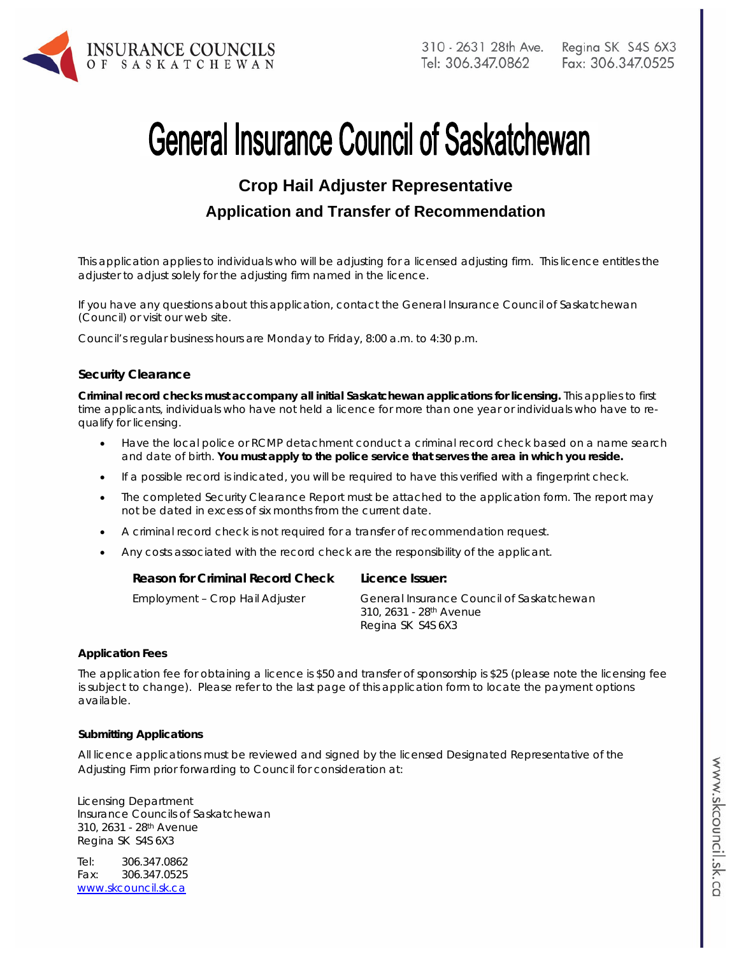

# **General Insurance Council of Saskatchewan**

## **Crop Hail Adjuster Representative Application and Transfer of Recommendation**

*This application applies to individuals who will be adjusting for a licensed adjusting firm. This licence entitles the adjuster to adjust solely for the adjusting firm named in the licence.* 

If you have any questions about this application, contact the General Insurance Council of Saskatchewan (Council) or visit our web site.

Council's regular business hours are Monday to Friday, 8:00 a.m. to 4:30 p.m.

#### **Security Clearance**

**Criminal record checks must accompany all initial Saskatchewan applications for licensing.** This applies to first time applicants, individuals who have not held a licence for more than one year or individuals who have to requalify for licensing.

- Have the local police or RCMP detachment conduct a criminal record check based on a name search and date of birth. **You must apply to the police service that serves the area in which you reside.**
- If a possible record is indicated, you will be required to have this verified with a fingerprint check.
- The completed Security Clearance Report must be attached to the application form. The report may not be dated in excess of six months from the current date.
- A criminal record check is not required for a transfer of recommendation request.
- Any costs associated with the record check are the responsibility of the applicant.

| <b>Reason for Criminal Record Check</b> | Licence Issuer:                                                                                       |
|-----------------------------------------|-------------------------------------------------------------------------------------------------------|
| Employment - Crop Hail Adjuster         | General Insurance Council of Saskatchewan<br>310, 2631 - 28 <sup>th</sup> Avenue<br>Regina SK S4S 6X3 |

#### **Application Fees**

The application fee for obtaining a licence is \$50 and transfer of sponsorship is \$25 (please note the licensing fee is subject to change). Please refer to the last page of this application form to locate the payment options available.

#### **Submitting Applications**

All licence applications must be reviewed and signed by the licensed Designated Representative of the Adjusting Firm prior forwarding to Council for consideration at:

Licensing Department Insurance Councils of Saskatchewan 310, 2631 - 28th Avenue Regina SK S4S 6X3

Tel: 306.347.0862 Fax: 306.347.0525 www.skcouncil.sk.ca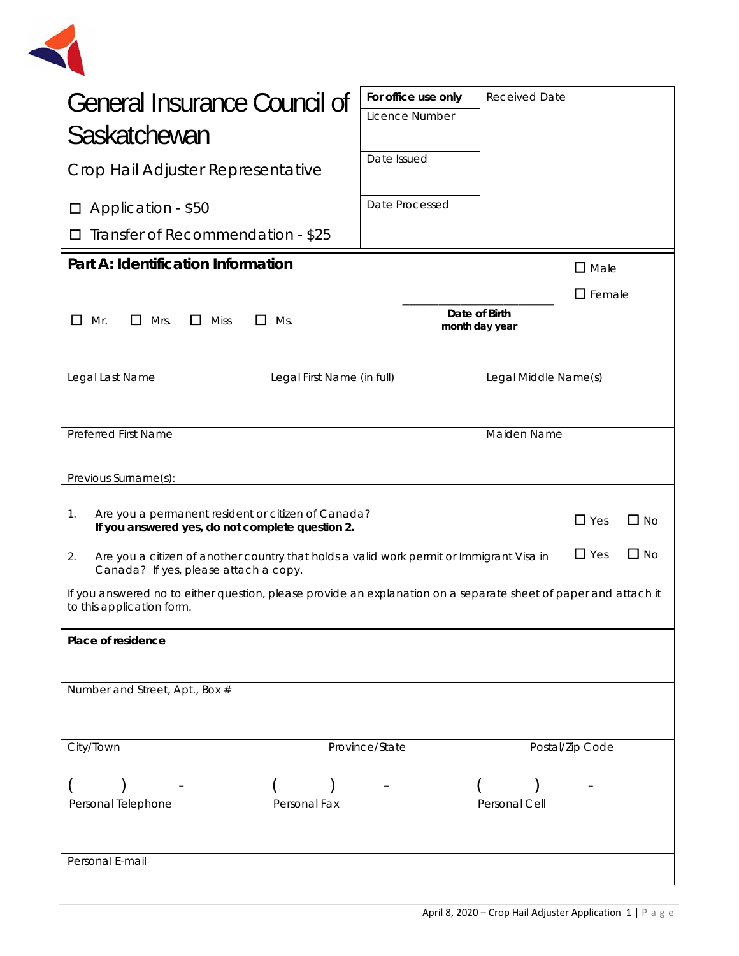

| <b>General Insurance Council of</b><br>Saskatchewan<br>Crop Hail Adjuster Representative                                                                           |                | For office use only<br>Licence Number<br>Date Issued | <b>Received Date</b> |                 |  |
|--------------------------------------------------------------------------------------------------------------------------------------------------------------------|----------------|------------------------------------------------------|----------------------|-----------------|--|
| Application - \$50<br>ப                                                                                                                                            |                | Date Processed                                       |                      |                 |  |
| Transfer of Recommendation - \$25                                                                                                                                  |                |                                                      |                      |                 |  |
| Part A: Identification Information                                                                                                                                 |                |                                                      |                      | $\square$ Male  |  |
| $\square$ Female<br>Date of Birth<br>L I<br>Mr.<br>Ш<br>Mrs.<br>$\Box$ Miss<br>Ms.<br>$\mathsf{L}$<br>month day year                                               |                |                                                      |                      |                 |  |
| Legal Last Name<br>Legal First Name (in full)                                                                                                                      |                |                                                      | Legal Middle Name(s) |                 |  |
|                                                                                                                                                                    |                |                                                      |                      |                 |  |
| <b>Preferred First Name</b>                                                                                                                                        |                |                                                      | Maiden Name          |                 |  |
| Previous Surname(s):                                                                                                                                               |                |                                                      |                      |                 |  |
| Are you a permanent resident or citizen of Canada?<br>1.<br>$\Box$ Yes<br>$\Box$ No<br>If you answered yes, do not complete question 2.                            |                |                                                      |                      |                 |  |
| $\Box$ Yes<br>$\Box$ No<br>2.<br>Are you a citizen of another country that holds a valid work permit or Immigrant Visa in<br>Canada? If yes, please attach a copy. |                |                                                      |                      |                 |  |
| If you answered no to either question, please provide an explanation on a separate sheet of paper and attach it<br>to this application form.                       |                |                                                      |                      |                 |  |
| Place of residence                                                                                                                                                 |                |                                                      |                      |                 |  |
|                                                                                                                                                                    |                |                                                      |                      |                 |  |
| Number and Street, Apt., Box #                                                                                                                                     |                |                                                      |                      |                 |  |
|                                                                                                                                                                    |                |                                                      |                      |                 |  |
| City/Town                                                                                                                                                          | Province/State |                                                      |                      | Postal/Zip Code |  |
|                                                                                                                                                                    |                |                                                      |                      |                 |  |
| Personal Telephone<br>Personal Fax                                                                                                                                 |                |                                                      | Personal Cell        |                 |  |
|                                                                                                                                                                    |                |                                                      |                      |                 |  |
| Personal E-mail                                                                                                                                                    |                |                                                      |                      |                 |  |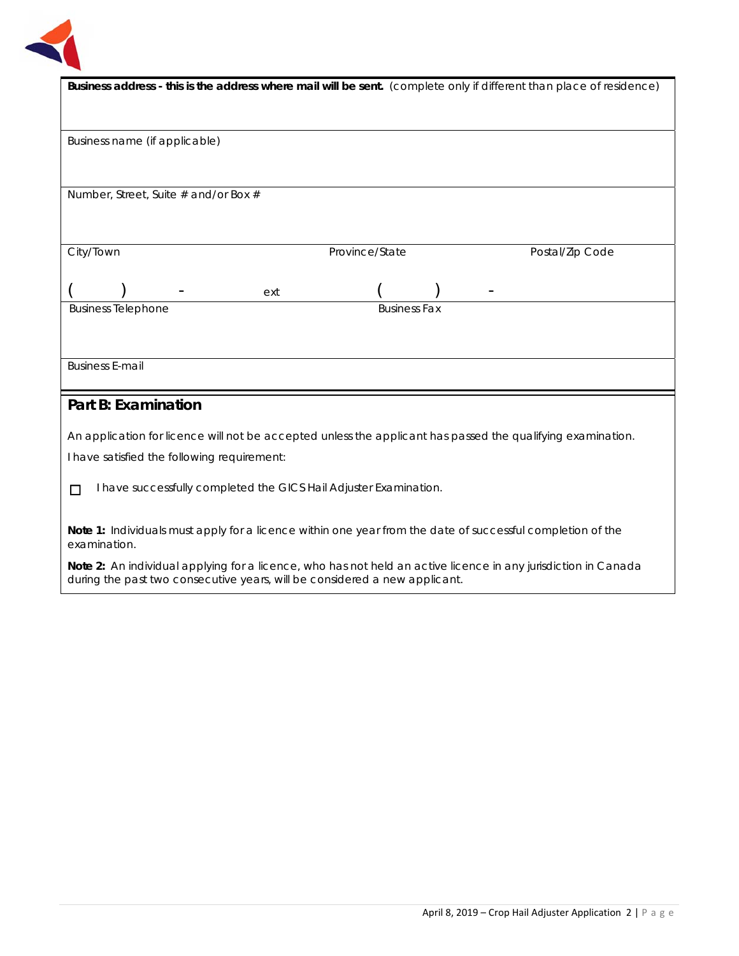

| Business address - this is the address where mail will be sent. (complete only if different than place of residence)                                                                         |  |  |
|----------------------------------------------------------------------------------------------------------------------------------------------------------------------------------------------|--|--|
|                                                                                                                                                                                              |  |  |
|                                                                                                                                                                                              |  |  |
| Business name (if applicable)                                                                                                                                                                |  |  |
|                                                                                                                                                                                              |  |  |
|                                                                                                                                                                                              |  |  |
| Number, Street, Suite # and/or Box #                                                                                                                                                         |  |  |
|                                                                                                                                                                                              |  |  |
|                                                                                                                                                                                              |  |  |
| City/Town<br>Province/State<br>Postal/Zip Code                                                                                                                                               |  |  |
|                                                                                                                                                                                              |  |  |
| ext                                                                                                                                                                                          |  |  |
| <b>Business Telephone</b><br><b>Business Fax</b>                                                                                                                                             |  |  |
|                                                                                                                                                                                              |  |  |
|                                                                                                                                                                                              |  |  |
| <b>Business E-mail</b>                                                                                                                                                                       |  |  |
|                                                                                                                                                                                              |  |  |
| <b>Part B: Examination</b>                                                                                                                                                                   |  |  |
| An application for licence will not be accepted unless the applicant has passed the qualifying examination.                                                                                  |  |  |
| I have satisfied the following requirement:                                                                                                                                                  |  |  |
|                                                                                                                                                                                              |  |  |
| I have successfully completed the GICS Hail Adjuster Examination.<br>□                                                                                                                       |  |  |
|                                                                                                                                                                                              |  |  |
| Note 1: Individuals must apply for a licence within one year from the date of successful completion of the                                                                                   |  |  |
| examination.                                                                                                                                                                                 |  |  |
| Note 2: An individual applying for a licence, who has not held an active licence in any jurisdiction in Canada<br>during the past two consecutive years, will be considered a new applicant. |  |  |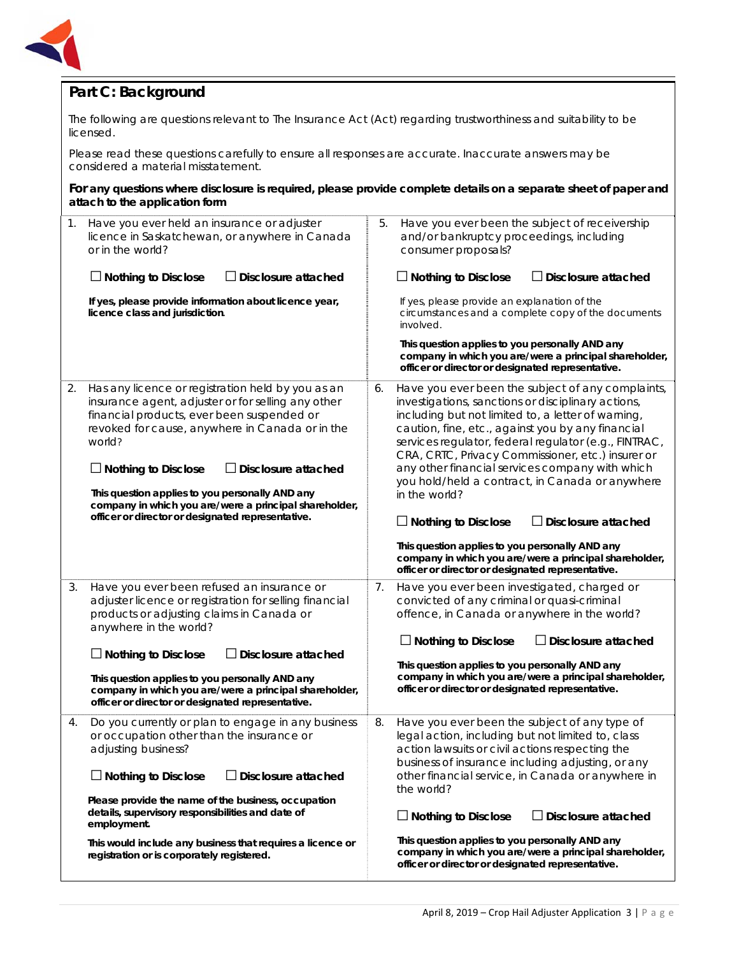

## **Part C: Background**

The following are questions relevant to *The Insurance Act* (Act) regarding trustworthiness and suitability to be licensed.

Please read these questions carefully to ensure all responses are accurate. Inaccurate answers may be considered a material misstatement.

#### **For any questions where disclosure is required, please provide complete details on a separate sheet of paper and attach to the application form**

| 1. | Have you ever held an insurance or adjuster<br>licence in Saskatchewan, or anywhere in Canada<br>or in the world?<br>$\Box$ Nothing to Disclose<br><b>Disclosure attached</b><br>If yes, please provide information about licence year,<br>licence class and jurisdiction.                                                                                                                                                                | 5. | Have you ever been the subject of receivership<br>and/or bankruptcy proceedings, including<br>consumer proposals?<br>$\Box$ Nothing to Disclose<br>$\!\!\!\Box$ Disclosure attached<br>If yes, please provide an explanation of the<br>circumstances and a complete copy of the documents<br>involved.<br>This question applies to you personally AND any<br>company in which you are/were a principal shareholder,<br>officer or director or designated representative.                                                                                                                                                                                                              |
|----|-------------------------------------------------------------------------------------------------------------------------------------------------------------------------------------------------------------------------------------------------------------------------------------------------------------------------------------------------------------------------------------------------------------------------------------------|----|---------------------------------------------------------------------------------------------------------------------------------------------------------------------------------------------------------------------------------------------------------------------------------------------------------------------------------------------------------------------------------------------------------------------------------------------------------------------------------------------------------------------------------------------------------------------------------------------------------------------------------------------------------------------------------------|
| 2. | Has any licence or registration held by you as an<br>insurance agent, adjuster or for selling any other<br>financial products, ever been suspended or<br>revoked for cause, anywhere in Canada or in the<br>world?<br>$\Box$ Nothing to Disclose<br>Disclosure attached<br>This question applies to you personally AND any<br>company in which you are/were a principal shareholder,<br>officer or director or designated representative. | 6. | Have you ever been the subject of any complaints,<br>investigations, sanctions or disciplinary actions,<br>including but not limited to, a letter of warning,<br>caution, fine, etc., against you by any financial<br>services regulator, federal regulator (e.g., FINTRAC,<br>CRA, CRTC, Privacy Commissioner, etc.) insurer or<br>any other financial services company with which<br>you hold/held a contract, in Canada or anywhere<br>in the world?<br><b>Disclosure attached</b><br>$\Box$ Nothing to Disclose<br>This question applies to you personally AND any<br>company in which you are/were a principal shareholder,<br>officer or director or designated representative. |
| 3. | Have you ever been refused an insurance or<br>adjuster licence or registration for selling financial<br>products or adjusting claims in Canada or<br>anywhere in the world?<br>$\Box$ Nothing to Disclose<br>$\Box$ Disclosure attached<br>This question applies to you personally AND any<br>company in which you are/were a principal shareholder,<br>officer or director or designated representative.                                 | 7. | Have you ever been investigated, charged or<br>convicted of any criminal or quasi-criminal<br>offence, in Canada or anywhere in the world?<br>$\Box$ Nothing to Disclose<br>$\Box$ Disclosure attached<br>This question applies to you personally AND any<br>company in which you are/were a principal shareholder,<br>officer or director or designated representative.                                                                                                                                                                                                                                                                                                              |
| 4. | Do you currently or plan to engage in any business<br>or occupation other than the insurance or<br>adjusting business?<br>$\Box$ Nothing to Disclose<br>$\Box$ Disclosure attached<br>Please provide the name of the business, occupation<br>details, supervisory responsibilities and date of<br>employment.<br>This would include any business that requires a licence or<br>registration or is corporately registered.                 | 8. | Have you ever been the subject of any type of<br>legal action, including but not limited to, class<br>action lawsuits or civil actions respecting the<br>business of insurance including adjusting, or any<br>other financial service, in Canada or anywhere in<br>the world?<br>$\Box$ Nothing to Disclose<br>$\Box$ Disclosure attached<br>This question applies to you personally AND any<br>company in which you are/were a principal shareholder,<br>officer or director or designated representative.                                                                                                                                                                           |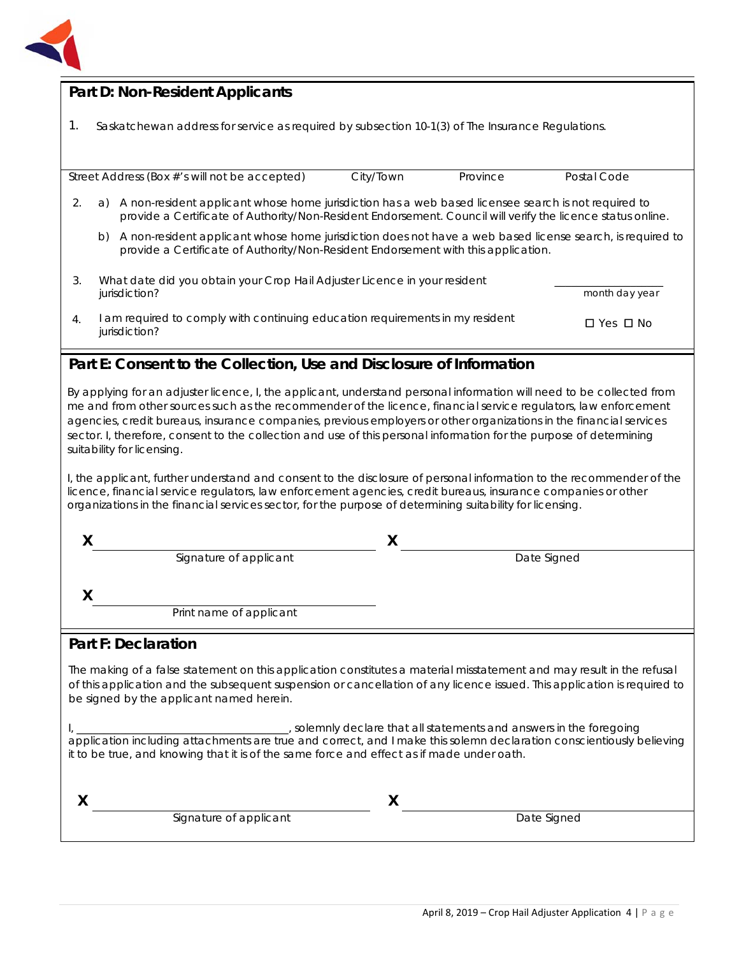

## **Part D: Non-Resident Applicants**

1. Saskatchewan address for service as required by subsection 10-1(3) of *The Insurance Regulations.*

Street Address (Box #'s will not be accepted) City/Town Province Postal Code 2. a) A non-resident applicant whose home jurisdiction has a web based licensee search is not required to provide a Certificate of Authority/Non-Resident Endorsement. Council will verify the licence status online. b) A non-resident applicant whose home jurisdiction does not have a web based license search, is required to provide a Certificate of Authority/Non-Resident Endorsement with this application. 3. What date did you obtain your Crop Hail Adjuster Licence in your resident jurisdiction? \_\_\_\_\_\_\_\_\_\_\_\_\_\_\_\_\_\_\_\_ *month day year*  4. I am required to comply with continuing education requirements in my resident jurisdiction? □Yes □No

## **Part E: Consent to the Collection, Use and Disclosure of Information**

By applying for an adjuster licence, I, the applicant, understand personal information will need to be collected from me and from other sources such as the recommender of the licence, financial service regulators, law enforcement agencies, credit bureaus, insurance companies, previous employers or other organizations in the financial services sector. I, therefore, consent to the collection and use of this personal information for the purpose of determining suitability for licensing.

I, the applicant, further understand and consent to the disclosure of personal information to the recommender of the licence, financial service regulators, law enforcement agencies, credit bureaus, insurance companies or other organizations in the financial services sector, for the purpose of determining suitability for licensing.

| Signature of applicant  | Date Signed |
|-------------------------|-------------|
|                         |             |
| Print name of applicant |             |

## **Part F: Declaration**

The making of a false statement on this application constitutes a material misstatement and may result in the refusal of this application and the subsequent suspension or cancellation of any licence issued. This application is required to be signed by the applicant named herein.

I, \_\_\_\_\_\_\_\_\_\_\_\_\_\_\_\_\_\_\_\_\_\_\_\_\_\_\_\_\_\_\_\_\_\_\_\_\_\_\_, solemnly declare that all statements and answers in the foregoing application including attachments are true and correct, and I make this solemn declaration conscientiously believing it to be true, and knowing that it is of the same force and effect as if made under oath.

|  | Signature of applicant | Date Signed |  |
|--|------------------------|-------------|--|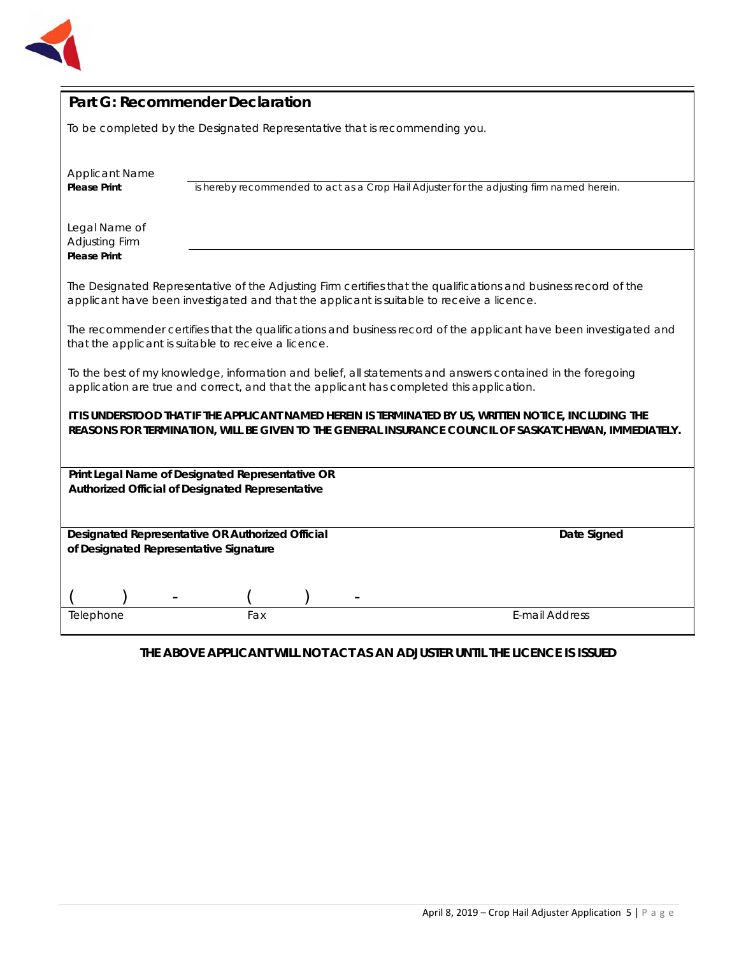

| Part G: Recommender Declaration                                                                                                                                                                                 |                                                                            |                                                                                           |  |
|-----------------------------------------------------------------------------------------------------------------------------------------------------------------------------------------------------------------|----------------------------------------------------------------------------|-------------------------------------------------------------------------------------------|--|
|                                                                                                                                                                                                                 | To be completed by the Designated Representative that is recommending you. |                                                                                           |  |
| <b>Applicant Name</b><br><b>Please Print</b>                                                                                                                                                                    |                                                                            | is hereby recommended to act as a Crop Hail Adjuster for the adjusting firm named herein. |  |
| Legal Name of<br>Adjusting Firm<br><b>Please Print</b>                                                                                                                                                          |                                                                            |                                                                                           |  |
| The Designated Representative of the Adjusting Firm certifies that the qualifications and business record of the<br>applicant have been investigated and that the applicant is suitable to receive a licence.   |                                                                            |                                                                                           |  |
| The recommender certifies that the qualifications and business record of the applicant have been investigated and<br>that the applicant is suitable to receive a licence.                                       |                                                                            |                                                                                           |  |
| To the best of my knowledge, information and belief, all statements and answers contained in the foregoing<br>application are true and correct, and that the applicant has completed this application.          |                                                                            |                                                                                           |  |
| IT IS UNDERSTOOD THAT IF THE APPLICANT NAMED HEREIN IS TERMINATED BY US, WRITTEN NOTICE, INCLUDING THE<br>REASONS FOR TERMINATION, WILL BE GIVEN TO THE GENERAL INSURANCE COUNCIL OF SASKATCHEWAN, IMMEDIATELY. |                                                                            |                                                                                           |  |
| Print Legal Name of Designated Representative OR                                                                                                                                                                |                                                                            |                                                                                           |  |
| Authorized Official of Designated Representative                                                                                                                                                                |                                                                            |                                                                                           |  |
| Designated Representative OR Authorized Official<br>Date Signed<br>of Designated Representative Signature                                                                                                       |                                                                            |                                                                                           |  |
|                                                                                                                                                                                                                 |                                                                            |                                                                                           |  |
| Telephone                                                                                                                                                                                                       | Fax                                                                        | <b>E-mail Address</b>                                                                     |  |

## **THE ABOVE APPLICANT WILL NOT ACT AS AN ADJUSTER UNTIL THE LICENCE IS ISSUED**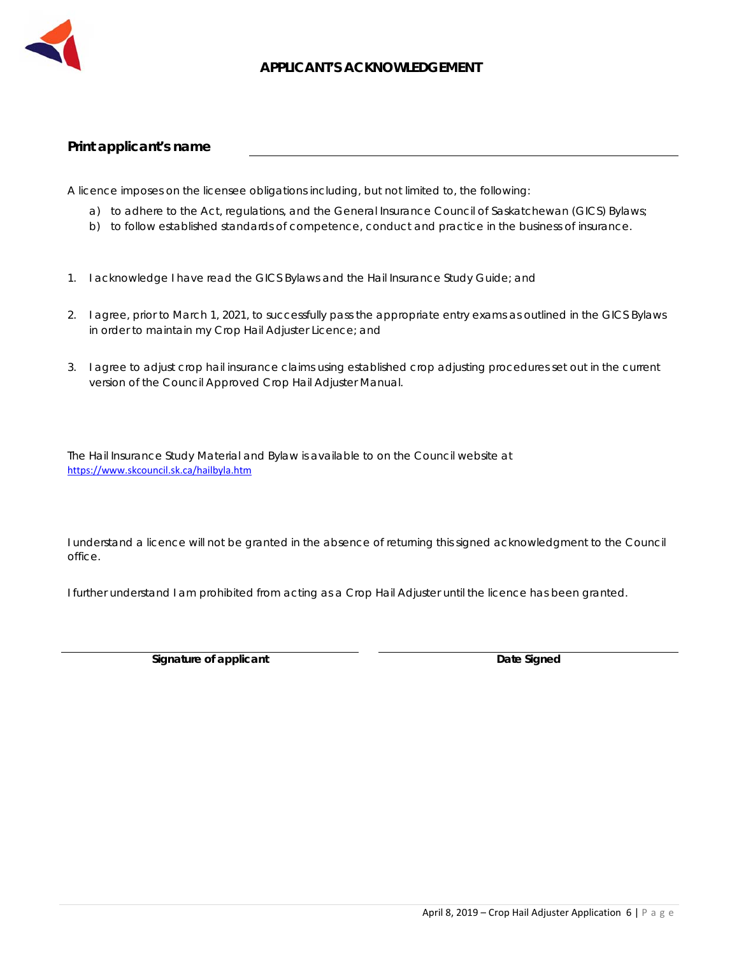

### **APPLICANT'S ACKNOWLEDGEMENT**

#### **Print applicant's name**

A licence imposes on the licensee obligations including, but not limited to, the following:

- a) to adhere to the Act, regulations, and the General Insurance Council of Saskatchewan (GICS) Bylaws;
- b) to follow established standards of competence, conduct and practice in the business of insurance.
- 1. I acknowledge I have read the GICS Bylaws and the Hail Insurance Study Guide; and
- 2. I agree, prior to March 1, 2021, to successfully pass the appropriate entry exams as outlined in the GICS Bylaws in order to maintain my Crop Hail Adjuster Licence; and
- 3. I agree to adjust crop hail insurance claims using established crop adjusting procedures set out in the current version of the Council Approved Crop Hail Adjuster Manual.

The Hail Insurance Study Material and Bylaw is available to on the Council website at https://www.skcouncil.sk.ca/hailbyla.htm

I understand a licence will not be granted in the absence of returning this signed acknowledgment to the Council office.

I further understand I am prohibited from acting as a Crop Hail Adjuster until the licence has been granted.

**Signature of applicant Community Community Community Community Community Community Community Community Community Community Community Community Community Community Community Community Community Community Community Communit**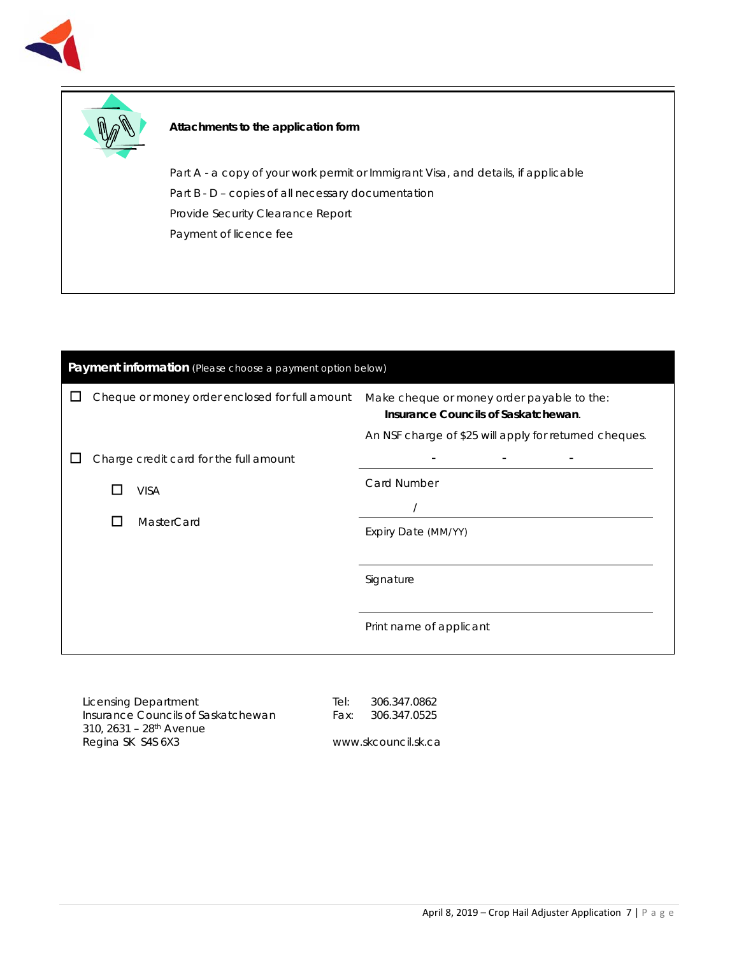



#### **Attachments to the application form**

Part A - a copy of your work permit or Immigrant Visa, and details, if applicable Part B - D - copies of all necessary documentation Provide Security Clearance Report Payment of licence fee

| Payment information (Please choose a payment option below) |                                                |                                                                                                                                             |  |  |
|------------------------------------------------------------|------------------------------------------------|---------------------------------------------------------------------------------------------------------------------------------------------|--|--|
|                                                            | Cheque or money order enclosed for full amount | Make cheque or money order payable to the:<br>Insurance Councils of Saskatchewan.<br>An NSF charge of \$25 will apply for returned cheques. |  |  |
|                                                            | Charge credit card for the full amount         |                                                                                                                                             |  |  |
|                                                            | <b>VISA</b>                                    | <b>Card Number</b>                                                                                                                          |  |  |
|                                                            | MasterCard<br>$\blacksquare$                   | Expiry Date (MM/YY)                                                                                                                         |  |  |
|                                                            |                                                | Signature                                                                                                                                   |  |  |
|                                                            |                                                | Print name of applicant                                                                                                                     |  |  |

Licensing Department Insurance Councils of Saskatchewan 310, 2631 – 28th Avenue Regina SK S4S 6X3

Tel: 306.347.0862 Fax: 306.347.0525

www.skcouncil.sk.ca